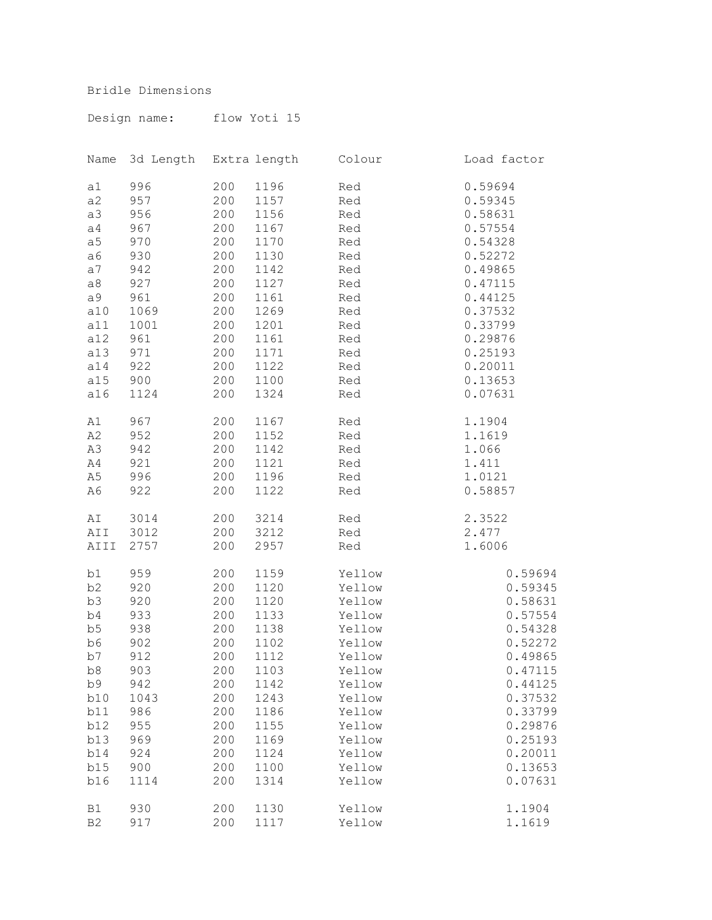Bridle Dimensions

Design name: flow Yoti 15

|                | Name |      | 3d Length |     | Extra length | Colour | Load factor |
|----------------|------|------|-----------|-----|--------------|--------|-------------|
| a1             |      | 996  |           | 200 | 1196         | Red    | 0.59694     |
| a2             |      | 957  |           | 200 | 1157         | Red    | 0.59345     |
| a3             |      | 956  |           | 200 | 1156         | Red    | 0.58631     |
| a <sub>4</sub> |      | 967  |           | 200 | 1167         | Red    | 0.57554     |
| a <sub>5</sub> |      | 970  |           | 200 | 1170         | Red    | 0.54328     |
| a6             |      | 930  |           | 200 | 1130         | Red    | 0.52272     |
| a7             |      | 942  |           | 200 | 1142         | Red    | 0.49865     |
| a8             |      | 927  |           | 200 | 1127         | Red    | 0.47115     |
| a9             |      | 961  |           | 200 | 1161         | Red    | 0.44125     |
| a10            |      | 1069 |           | 200 | 1269         | Red    | 0.37532     |
| a11            |      | 1001 |           | 200 | 1201         | Red    | 0.33799     |
| a12            |      | 961  |           | 200 | 1161         | Red    | 0.29876     |
| a13            |      | 971  |           | 200 | 1171         | Red    | 0.25193     |
| a14            |      | 922  |           | 200 | 1122         | Red    | 0.20011     |
| a15            |      | 900  |           | 200 | 1100         | Red    | 0.13653     |
| a16            |      | 1124 |           | 200 | 1324         | Red    | 0.07631     |
| A1             |      | 967  |           | 200 | 1167         | Red    | 1.1904      |
| $\mbox{A2}$    |      | 952  |           | 200 | 1152         | Red    | 1.1619      |
| A3             |      | 942  |           | 200 | 1142         | Red    | 1.066       |
| A4             |      | 921  |           | 200 | 1121         | Red    | 1.411       |
| A <sub>5</sub> |      | 996  |           | 200 | 1196         | Red    | 1.0121      |
| A6             |      | 922  |           | 200 | 1122         | Red    | 0.58857     |
|                |      |      |           |     |              |        |             |
| ΑI             |      | 3014 |           | 200 | 3214         | Red    | 2.3522      |
| AII            |      | 3012 |           | 200 | 3212         | Red    | 2.477       |
|                | AIII | 2757 |           | 200 | 2957         | Red    | 1.6006      |
| b1             |      | 959  |           | 200 | 1159         | Yellow | 0.59694     |
| b <sub>2</sub> |      | 920  |           | 200 | 1120         | Yellow | 0.59345     |
| b3             |      | 920  |           | 200 | 1120         | Yellow | 0.58631     |
| b4             |      | 933  |           | 200 | 1133         | Yellow | 0.57554     |
| b5             |      | 938  |           | 200 | 1138         | Yellow | 0.54328     |
| b6             |      | 902  |           | 200 | 1102         | Yellow | 0.52272     |
| b7             |      | 912  |           | 200 | 1112         | Yellow | 0.49865     |
| b8             |      | 903  |           | 200 | 1103         | Yellow | 0.47115     |
| b9             |      | 942  |           | 200 | 1142         | Yellow | 0.44125     |
| b10            |      | 1043 |           | 200 | 1243         | Yellow | 0.37532     |
| b11            |      | 986  |           | 200 | 1186         | Yellow | 0.33799     |
| b12            |      | 955  |           | 200 | 1155         | Yellow | 0.29876     |
| b13            |      | 969  |           | 200 | 1169         | Yellow | 0.25193     |
| b14            |      | 924  |           | 200 | 1124         | Yellow | 0.20011     |
| b15            |      | 900  |           | 200 | 1100         | Yellow | 0.13653     |
| b16            |      | 1114 |           | 200 | 1314         | Yellow | 0.07631     |
| B1             |      | 930  |           | 200 | 1130         | Yellow | 1.1904      |
| B2             |      | 917  |           | 200 | 1117         | Yellow | 1.1619      |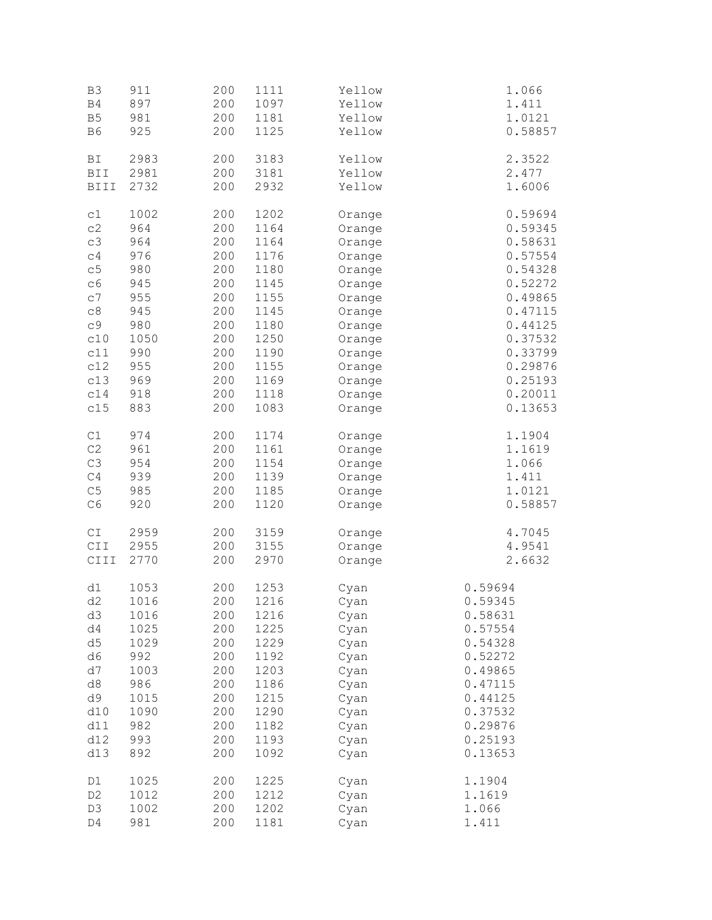| B <sub>3</sub>            | 911  | 200 | 1111 | Yellow | 1.066   |
|---------------------------|------|-----|------|--------|---------|
| B4                        | 897  | 200 | 1097 | Yellow | 1.411   |
| B <sub>5</sub>            | 981  | 200 | 1181 | Yellow | 1.0121  |
| B6                        | 925  | 200 | 1125 | Yellow | 0.58857 |
| ΒI                        | 2983 | 200 | 3183 | Yellow | 2.3522  |
| BII                       | 2981 | 200 | 3181 | Yellow | 2.477   |
| BIII                      | 2732 | 200 | 2932 | Yellow | 1.6006  |
| c1                        | 1002 | 200 | 1202 | Orange | 0.59694 |
| c2                        | 964  | 200 | 1164 | Orange | 0.59345 |
| c3                        | 964  | 200 | 1164 | Orange | 0.58631 |
| C <sub>4</sub>            | 976  | 200 | 1176 | Orange | 0.57554 |
| c <sub>5</sub>            | 980  | 200 | 1180 | Orange | 0.54328 |
| C6                        | 945  | 200 | 1145 | Orange | 0.52272 |
| $\rm{c}$ 7                | 955  | 200 | 1155 | Orange | 0.49865 |
| C8                        | 945  | 200 | 1145 | Orange | 0.47115 |
| C <sub>9</sub>            | 980  | 200 | 1180 | Orange | 0.44125 |
| c10                       | 1050 | 200 | 1250 | Orange | 0.37532 |
| c11                       | 990  | 200 | 1190 | Orange | 0.33799 |
| c12                       | 955  | 200 | 1155 | Orange | 0.29876 |
| c13                       | 969  | 200 | 1169 | Orange | 0.25193 |
| c14                       | 918  | 200 | 1118 | Orange | 0.20011 |
| c15                       | 883  | 200 | 1083 | Orange | 0.13653 |
| C1                        | 974  | 200 | 1174 | Orange | 1.1904  |
| C2                        | 961  | 200 | 1161 | Orange | 1.1619  |
| C3                        | 954  | 200 | 1154 | Orange | 1.066   |
| C4                        | 939  | 200 | 1139 | Orange | 1.411   |
| C <sub>5</sub>            | 985  | 200 | 1185 | Orange | 1.0121  |
| C6                        | 920  | 200 | 1120 | Orange | 0.58857 |
| $\mathbb{C}\, \mathbb{I}$ | 2959 | 200 | 3159 | Orange | 4.7045  |
| $\texttt{CII}$            | 2955 | 200 | 3155 | Orange | 4.9541  |
| CIII                      | 2770 | 200 | 2970 | Orange | 2.6632  |
| d1                        | 1053 | 200 | 1253 | Cyan   | 0.59694 |
| d2                        | 1016 | 200 | 1216 | Cyan   | 0.59345 |
| d3                        | 1016 | 200 | 1216 | Cyan   | 0.58631 |
| d4                        | 1025 | 200 | 1225 | Cyan   | 0.57554 |
| d5                        | 1029 | 200 | 1229 | Cyan   | 0.54328 |
| d6                        | 992  | 200 | 1192 | Cyan   | 0.52272 |
| d7                        | 1003 | 200 | 1203 | Cyan   | 0.49865 |
| d8                        | 986  | 200 | 1186 | Cyan   | 0.47115 |
| d9                        | 1015 | 200 | 1215 | Cyan   | 0.44125 |
| d10                       | 1090 | 200 | 1290 | Cyan   | 0.37532 |
| d11                       | 982  | 200 | 1182 | Cyan   | 0.29876 |
| d12                       | 993  | 200 | 1193 | Cyan   | 0.25193 |
| d13                       | 892  | 200 | 1092 | Cyan   | 0.13653 |
| D1                        | 1025 | 200 | 1225 | Cyan   | 1.1904  |
| D <sub>2</sub>            | 1012 | 200 | 1212 | Cyan   | 1.1619  |
| D3                        | 1002 | 200 | 1202 | Cyan   | 1.066   |
| D4                        | 981  | 200 | 1181 | Cyan   | 1.411   |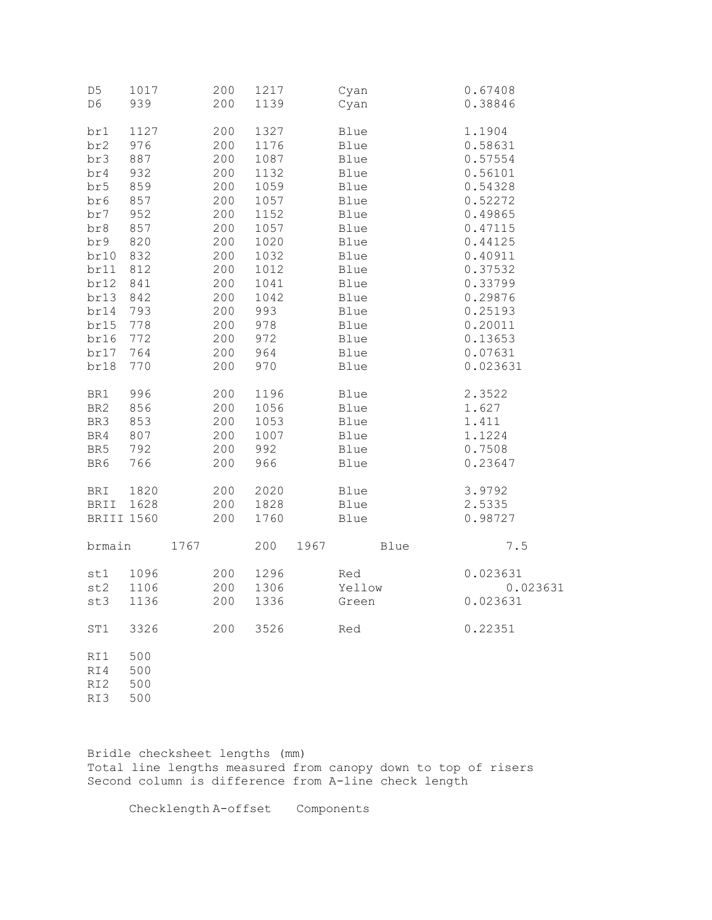| D <sub>5</sub><br>D6                                                                                                | 1017<br>939                                                                                                   |      | 200<br>200                                                                                                   | 1217<br>1139                                                                                                              |      | Cyan<br>Cyan                                                                                                                 |      | 0.67408<br>0.38846                                                                                                                                                          |
|---------------------------------------------------------------------------------------------------------------------|---------------------------------------------------------------------------------------------------------------|------|--------------------------------------------------------------------------------------------------------------|---------------------------------------------------------------------------------------------------------------------------|------|------------------------------------------------------------------------------------------------------------------------------|------|-----------------------------------------------------------------------------------------------------------------------------------------------------------------------------|
| br1<br>br2<br>br3<br>br4<br>br5<br>br6<br>br7<br>br8<br>br9<br>br10<br>br11<br>br12<br>br13<br>br14<br>br15<br>br16 | 1127<br>976<br>887<br>932<br>859<br>857<br>952<br>857<br>820<br>832<br>812<br>841<br>842<br>793<br>778<br>772 |      | 200<br>200<br>200<br>200<br>200<br>200<br>200<br>200<br>200<br>200<br>200<br>200<br>200<br>200<br>200<br>200 | 1327<br>1176<br>1087<br>1132<br>1059<br>1057<br>1152<br>1057<br>1020<br>1032<br>1012<br>1041<br>1042<br>993<br>978<br>972 |      | Blue<br>Blue<br>Blue<br>Blue<br>Blue<br>Blue<br>Blue<br>Blue<br>Blue<br>Blue<br>Blue<br>Blue<br>Blue<br>Blue<br>Blue<br>Blue |      | 1.1904<br>0.58631<br>0.57554<br>0.56101<br>0.54328<br>0.52272<br>0.49865<br>0.47115<br>0.44125<br>0.40911<br>0.37532<br>0.33799<br>0.29876<br>0.25193<br>0.20011<br>0.13653 |
| br17<br>br18                                                                                                        | 764<br>770                                                                                                    |      | 200<br>200                                                                                                   | 964<br>970                                                                                                                |      | Blue<br>Blue                                                                                                                 |      | 0.07631<br>0.023631                                                                                                                                                         |
| BR1<br>BR <sub>2</sub><br>BR3<br>BR4<br>BR5<br>BR6                                                                  | 996<br>856<br>853<br>807<br>792<br>766                                                                        |      | 200<br>200<br>200<br>200<br>200<br>200                                                                       | 1196<br>1056<br>1053<br>1007<br>992<br>966                                                                                |      | Blue<br>Blue<br>Blue<br>Blue<br>Blue<br>Blue                                                                                 |      | 2.3522<br>1.627<br>1.411<br>1.1224<br>0.7508<br>0.23647                                                                                                                     |
| <b>BRI</b><br>BRII<br>BRIII 1560                                                                                    | 1820<br>1628                                                                                                  |      | 200<br>200<br>200                                                                                            | 2020<br>1828<br>1760                                                                                                      |      | Blue<br>Blue<br>Blue                                                                                                         |      | 3.9792<br>2.5335<br>0.98727                                                                                                                                                 |
| brmain                                                                                                              |                                                                                                               | 1767 |                                                                                                              | 200                                                                                                                       | 1967 |                                                                                                                              | Blue | 7.5                                                                                                                                                                         |
| stl<br>st2<br>st3                                                                                                   | 1096<br>1106<br>1136                                                                                          |      | 200<br>200<br>200                                                                                            | 1296<br>1306<br>1336                                                                                                      |      | Red<br>Yellow<br>Green                                                                                                       |      | 0.023631<br>0.023631<br>0.023631                                                                                                                                            |
| ST1                                                                                                                 | 3326                                                                                                          |      | 200                                                                                                          | 3526                                                                                                                      |      | Red                                                                                                                          |      | 0.22351                                                                                                                                                                     |
| RI1<br>RI4<br>RI2<br>RI3                                                                                            | 500<br>500<br>500<br>500                                                                                      |      |                                                                                                              |                                                                                                                           |      |                                                                                                                              |      |                                                                                                                                                                             |

Bridle checksheet lengths (mm) Total line lengths measured from canopy down to top of risers Second column is difference from A-line check length

Checklength A-offset Components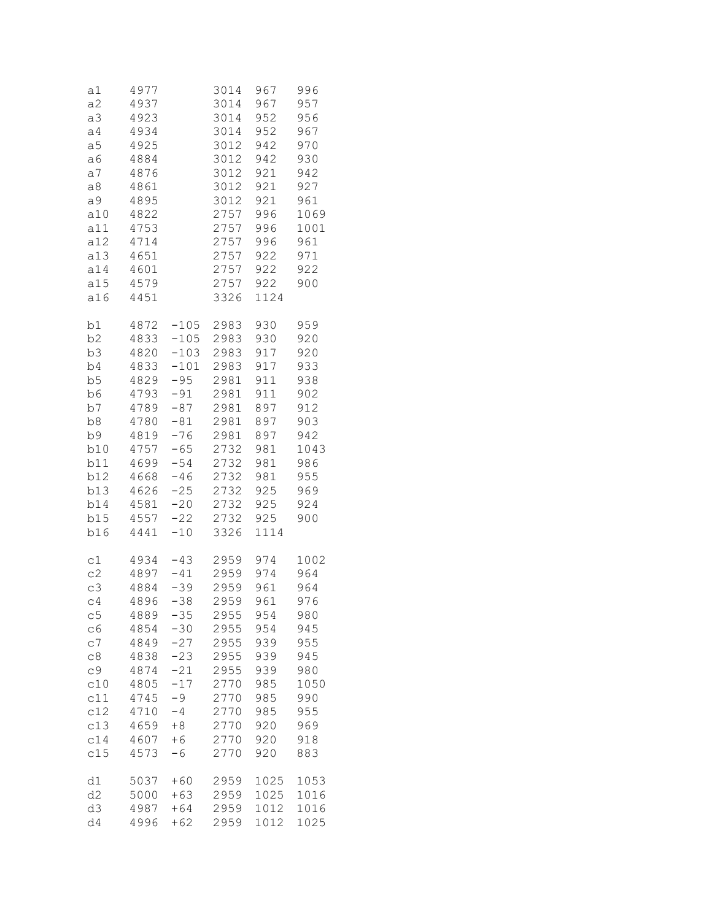| a1                                                                                                  | 4977                                                                                                                         |                                                                                                                                                  | 3014                                                                                                                         | 967                                                                                                           | 996                                                                                             |
|-----------------------------------------------------------------------------------------------------|------------------------------------------------------------------------------------------------------------------------------|--------------------------------------------------------------------------------------------------------------------------------------------------|------------------------------------------------------------------------------------------------------------------------------|---------------------------------------------------------------------------------------------------------------|-------------------------------------------------------------------------------------------------|
| a2                                                                                                  | 4937                                                                                                                         |                                                                                                                                                  | 3014                                                                                                                         | 967                                                                                                           | 957                                                                                             |
| a3                                                                                                  | 4923                                                                                                                         |                                                                                                                                                  | 3014                                                                                                                         | 952                                                                                                           | 956                                                                                             |
| a <sub>4</sub>                                                                                      | 4934                                                                                                                         |                                                                                                                                                  | 3014                                                                                                                         | 952                                                                                                           | 967                                                                                             |
| a <sub>5</sub>                                                                                      | 4925                                                                                                                         |                                                                                                                                                  | 3012                                                                                                                         | 942                                                                                                           | 970                                                                                             |
| a6                                                                                                  | 4884                                                                                                                         |                                                                                                                                                  | 3012                                                                                                                         | 942                                                                                                           | 930                                                                                             |
| a <sub>7</sub>                                                                                      | 4876                                                                                                                         |                                                                                                                                                  | 3012                                                                                                                         | 921                                                                                                           | 942                                                                                             |
| a8                                                                                                  | 4861                                                                                                                         |                                                                                                                                                  | 3012                                                                                                                         | 921                                                                                                           | 927                                                                                             |
| a9                                                                                                  | 4895                                                                                                                         |                                                                                                                                                  | 3012                                                                                                                         | 921                                                                                                           | 961                                                                                             |
| a10                                                                                                 | 4822                                                                                                                         |                                                                                                                                                  | 2757                                                                                                                         | 996                                                                                                           | 1069                                                                                            |
| a11                                                                                                 | 4753                                                                                                                         |                                                                                                                                                  | 2757                                                                                                                         | 996                                                                                                           | 1001                                                                                            |
| a12                                                                                                 | 4714                                                                                                                         |                                                                                                                                                  | 2757                                                                                                                         | 996                                                                                                           | 961                                                                                             |
| a13                                                                                                 | 4651                                                                                                                         |                                                                                                                                                  | 2757                                                                                                                         | 922                                                                                                           | 971                                                                                             |
| a14                                                                                                 | 4601                                                                                                                         |                                                                                                                                                  | 2757                                                                                                                         | 922                                                                                                           | 922                                                                                             |
| a15                                                                                                 | 4579                                                                                                                         |                                                                                                                                                  | 2757                                                                                                                         | 922                                                                                                           | 900                                                                                             |
| a16                                                                                                 | 4451                                                                                                                         |                                                                                                                                                  | 3326                                                                                                                         | 1124                                                                                                          | 959                                                                                             |
| b1<br>b2<br>b3<br>b4<br>b5<br>b6<br>b7<br>b8<br>b9<br>b10<br>b11<br>b12<br>b13<br>b14<br>b15<br>b16 | 4872<br>4833<br>4820<br>4833<br>4829<br>4793<br>4789<br>4780<br>4819<br>4757<br>4699<br>4668<br>4626<br>4581<br>4557<br>4441 | $-105$<br>$-105$<br>$-103$<br>$-101$<br>$-95$<br>$-91$<br>$-87$<br>$-81$<br>$-76$<br>$-65$<br>$-54$<br>$-46$<br>$-25$<br>$-20$<br>$-22$<br>$-10$ | 2983<br>2983<br>2983<br>2983<br>2981<br>2981<br>2981<br>2981<br>2981<br>2732<br>2732<br>2732<br>2732<br>2732<br>2732<br>3326 | 930<br>930<br>917<br>917<br>911<br>911<br>897<br>897<br>897<br>981<br>981<br>981<br>925<br>925<br>925<br>1114 | 920<br>920<br>933<br>938<br>902<br>912<br>903<br>942<br>1043<br>986<br>955<br>969<br>924<br>900 |
| c1                                                                                                  | 4934                                                                                                                         | $-43$                                                                                                                                            | 2959                                                                                                                         | 974                                                                                                           | 1002                                                                                            |
| c2                                                                                                  | 4897                                                                                                                         | $-41$                                                                                                                                            | 2959                                                                                                                         | 974                                                                                                           | 964                                                                                             |
| C <sub>3</sub>                                                                                      | 4884                                                                                                                         | $-39$                                                                                                                                            | 2959                                                                                                                         | 961                                                                                                           | 964                                                                                             |
| C <sub>4</sub>                                                                                      | 4896                                                                                                                         | $-38$                                                                                                                                            | 2959                                                                                                                         | 961                                                                                                           | 976                                                                                             |
| C <sub>5</sub>                                                                                      | 4889                                                                                                                         | $-35$                                                                                                                                            | 2955                                                                                                                         | 954                                                                                                           | 980                                                                                             |
| c6                                                                                                  | 4854                                                                                                                         | $-30$                                                                                                                                            | 2955                                                                                                                         | 954                                                                                                           | 945                                                                                             |
| C <sub>7</sub>                                                                                      | 4849                                                                                                                         | $-27$                                                                                                                                            | 2955                                                                                                                         | 939                                                                                                           | 955                                                                                             |
| C8                                                                                                  | 4838                                                                                                                         | $-23$                                                                                                                                            | 2955                                                                                                                         | 939                                                                                                           | 945                                                                                             |
| c9                                                                                                  | 4874                                                                                                                         | $-21$                                                                                                                                            | 2955                                                                                                                         | 939                                                                                                           | 980                                                                                             |
| c10                                                                                                 | 4805                                                                                                                         | $-17$                                                                                                                                            | 2770                                                                                                                         | 985                                                                                                           | 1050                                                                                            |
| c11                                                                                                 | 4745                                                                                                                         | $-9$                                                                                                                                             | 2770                                                                                                                         | 985                                                                                                           | 990                                                                                             |
| c12                                                                                                 | 4710                                                                                                                         | $-4$                                                                                                                                             | 2770                                                                                                                         | 985                                                                                                           | 955                                                                                             |
| c13                                                                                                 | 4659                                                                                                                         | $+8$                                                                                                                                             | 2770                                                                                                                         | 920                                                                                                           | 969                                                                                             |
| c14                                                                                                 | 4607                                                                                                                         | $+6$                                                                                                                                             | 2770                                                                                                                         | 920                                                                                                           | 918                                                                                             |
| c15                                                                                                 | 4573                                                                                                                         | $-6$                                                                                                                                             | 2770                                                                                                                         | 920                                                                                                           | 883                                                                                             |
| d1                                                                                                  | 5037                                                                                                                         | $+60$                                                                                                                                            | 2959                                                                                                                         | 1025                                                                                                          | 1053                                                                                            |
| d2                                                                                                  | 5000                                                                                                                         | $+63$                                                                                                                                            | 2959                                                                                                                         | 1025                                                                                                          | 1016                                                                                            |
| d3                                                                                                  | 4987                                                                                                                         | $+64$                                                                                                                                            | 2959                                                                                                                         | 1012                                                                                                          | 1016                                                                                            |
| d4                                                                                                  | 4996                                                                                                                         | $+62$                                                                                                                                            | 2959                                                                                                                         | 1012                                                                                                          | 1025                                                                                            |